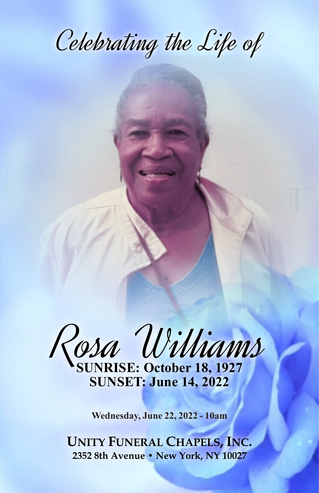Celebrating the Life of

Rosa Williams **SUNRISE: October 18, 1927**

**SUNSET: June 14, 2022**

**Wednesday, June 22, 2022 - 10am**

**UNITY FUNERAL CHAPELS, INC. 2352 8th Avenue • New York, NY 10027**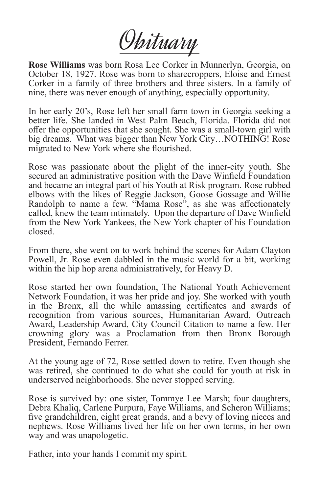Obituary

**Rose Williams** was born Rosa Lee Corker in Munnerlyn, Georgia, on October 18, 1927. Rose was born to sharecroppers, Eloise and Ernest Corker in a family of three brothers and three sisters. In a family of nine, there was never enough of anything, especially opportunity.

In her early 20's, Rose left her small farm town in Georgia seeking a better life. She landed in West Palm Beach, Florida. Florida did not offer the opportunities that she sought. She was a small-town girl with big dreams. What was bigger than New York City…NOTHING! Rose migrated to New York where she flourished.

Rose was passionate about the plight of the inner-city youth. She secured an administrative position with the Dave Winfield Foundation and became an integral part of his Youth at Risk program. Rose rubbed elbows with the likes of Reggie Jackson, Goose Gossage and Willie Randolph to name a few. "Mama Rose", as she was affectionately called, knew the team intimately. Upon the departure of Dave Winfield from the New York Yankees, the New York chapter of his Foundation closed.

From there, she went on to work behind the scenes for Adam Clayton Powell, Jr. Rose even dabbled in the music world for a bit, working within the hip hop arena administratively, for Heavy D.

Rose started her own foundation, The National Youth Achievement Network Foundation, it was her pride and joy. She worked with youth in the Bronx, all the while amassing certificates and awards of recognition from various sources, Humanitarian Award, Outreach Award, Leadership Award, City Council Citation to name a few. Her crowning glory was a Proclamation from then Bronx Borough President, Fernando Ferrer.

At the young age of 72, Rose settled down to retire. Even though she was retired, she continued to do what she could for youth at risk in underserved neighborhoods. She never stopped serving.

Rose is survived by: one sister, Tommye Lee Marsh; four daughters, Debra Khaliq, Carlene Purpura, Faye Williams, and Scheron Williams; five grandchildren, eight great grands, and a bevy of loving nieces and nephews. Rose Williams lived her life on her own terms, in her own way and was unapologetic.

Father, into your hands I commit my spirit.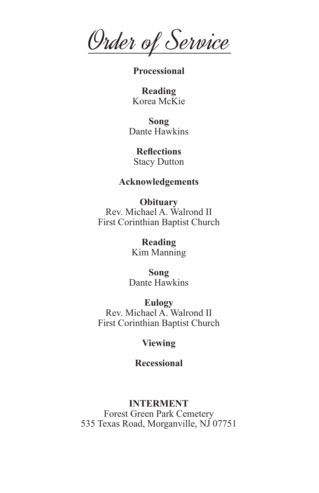Order of Service

**Processional**

**Reading** Korea McKie

**Song** Dante Hawkins

**Reflections** Stacy Dutton

## **Acknowledgements**

**Obituary** Rev. Michael A. Walrond II First Corinthian Baptist Church

> **Reading** Kim Manning

**Song** Dante Hawkins

**Eulogy** Rev. Michael A. Walrond II First Corinthian Baptist Church

## **Viewing**

**Recessional**

## **INTERMENT**

Forest Green Park Cemetery 535 Texas Road, Morganville, NJ 07751